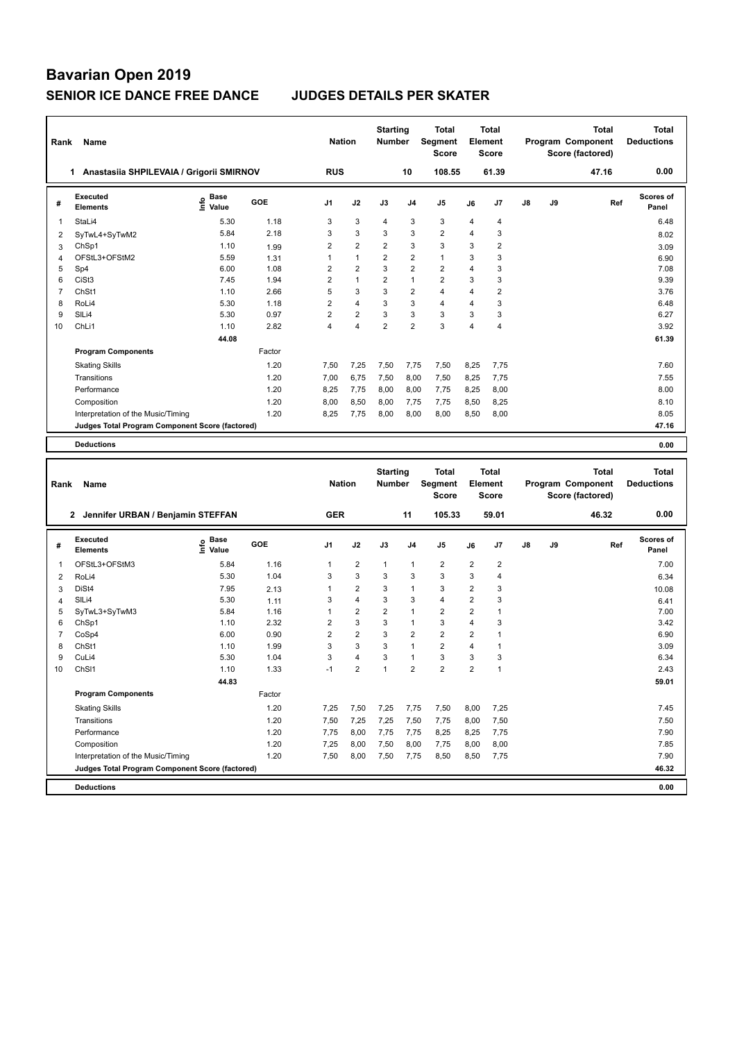| Rank                | Name                                            |                                         |              | <b>Nation</b>  |                         | <b>Starting</b><br><b>Number</b> |                         | Total<br>Segment<br><b>Score</b> |                | <b>Total</b><br><b>Element</b><br><b>Score</b> |    |    | Program Component<br>Score (factored) | <b>Total</b> | <b>Total</b><br><b>Deductions</b> |
|---------------------|-------------------------------------------------|-----------------------------------------|--------------|----------------|-------------------------|----------------------------------|-------------------------|----------------------------------|----------------|------------------------------------------------|----|----|---------------------------------------|--------------|-----------------------------------|
|                     | 1 Anastasiia SHPILEVAIA / Grigorii SMIRNOV      |                                         |              | <b>RUS</b>     |                         |                                  | 10                      | 108.55                           |                | 61.39                                          |    |    |                                       | 47.16        | 0.00                              |
| #                   | <b>Executed</b><br><b>Elements</b>              | e Base<br>⊆ Value                       | GOE          | J1             | J2                      | J3                               | J4                      | J5                               | J6             | J7                                             | J8 | J9 |                                       | Ref          | Scores of<br>Panel                |
| 1                   | StaLi4                                          | 5.30                                    | 1.18         | 3              | 3                       | 4                                | 3                       | 3                                | 4              | 4                                              |    |    |                                       |              | 6.48                              |
| 2                   | SyTwL4+SyTwM2                                   | 5.84                                    | 2.18         | 3              | 3                       | 3                                | 3                       | $\overline{2}$                   | $\overline{4}$ | 3                                              |    |    |                                       |              | 8.02                              |
| 3                   | ChSp1                                           | 1.10                                    | 1.99         | $\overline{2}$ | 2                       | 2                                | 3                       | 3                                | 3              | $\overline{2}$                                 |    |    |                                       |              | 3.09                              |
| $\overline{4}$      | OFStL3+OFStM2                                   | 5.59                                    | 1.31         | 1              | $\mathbf{1}$            | $\overline{2}$                   | $\overline{2}$          | $\mathbf{1}$                     | 3              | 3                                              |    |    |                                       |              | 6.90                              |
| 5                   | Sp4                                             | 6.00                                    | 1.08         | $\overline{2}$ | $\overline{2}$          | 3                                | $\overline{2}$          | $\overline{2}$                   | $\overline{4}$ | 3                                              |    |    |                                       |              | 7.08                              |
| 6                   | CiSt3                                           | 7.45                                    | 1.94         | $\overline{2}$ | 1                       | $\overline{2}$                   | $\mathbf{1}$            | $\overline{2}$                   | 3              | 3                                              |    |    |                                       |              | 9.39                              |
| $\overline{7}$      | ChSt1                                           | 1.10                                    | 2.66         | 5              | 3                       | 3                                | $\overline{\mathbf{c}}$ | $\overline{4}$                   | $\overline{4}$ | $\overline{c}$                                 |    |    |                                       |              | 3.76                              |
| 8                   | RoLi4                                           | 5.30                                    | 1.18         | $\overline{2}$ | 4                       | 3                                | 3                       | $\overline{4}$                   | $\overline{4}$ | 3                                              |    |    |                                       |              | 6.48                              |
| 9                   | SILi4                                           | 5.30                                    | 0.97         | $\overline{2}$ | 2                       | 3                                | 3                       | 3                                | 3              | 3                                              |    |    |                                       |              | 6.27                              |
| 10                  | ChLi1                                           | 1.10                                    | 2.82         | 4              | 4                       | $\overline{2}$                   | $\overline{2}$          | 3                                | $\overline{4}$ | 4                                              |    |    |                                       |              | 3.92                              |
|                     |                                                 | 44.08                                   |              |                |                         |                                  |                         |                                  |                |                                                |    |    |                                       |              | 61.39                             |
|                     | <b>Program Components</b>                       |                                         | Factor       |                |                         |                                  |                         |                                  |                |                                                |    |    |                                       |              |                                   |
|                     | <b>Skating Skills</b>                           |                                         | 1.20         | 7,50           | 7,25                    | 7,50                             | 7,75                    | 7,50                             | 8,25           | 7,75                                           |    |    |                                       |              | 7.60                              |
|                     | Transitions                                     |                                         | 1.20         | 7,00           | 6,75                    | 7,50                             | 8,00                    | 7,50                             | 8,25           | 7,75                                           |    |    |                                       |              | 7.55                              |
|                     | Performance                                     |                                         | 1.20         | 8,25           | 7,75                    | 8,00                             | 8,00                    | 7,75                             | 8,25           | 8,00                                           |    |    |                                       |              | 8.00                              |
|                     | Composition                                     |                                         | 1.20         | 8,00           | 8,50                    | 8,00                             | 7,75                    | 7,75                             | 8,50           | 8,25                                           |    |    |                                       |              | 8.10                              |
|                     | Interpretation of the Music/Timing              |                                         | 1.20         | 8,25           | 7,75                    | 8,00                             | 8,00                    | 8,00                             | 8,50           | 8,00                                           |    |    |                                       |              | 8.05                              |
|                     | Judges Total Program Component Score (factored) |                                         |              |                |                         |                                  |                         |                                  |                |                                                |    |    |                                       |              | 47.16                             |
|                     | <b>Deductions</b>                               |                                         |              |                |                         |                                  |                         |                                  |                |                                                |    |    |                                       |              | 0.00                              |
|                     |                                                 |                                         |              |                |                         |                                  |                         |                                  |                |                                                |    |    |                                       |              |                                   |
|                     |                                                 |                                         |              |                |                         |                                  |                         |                                  |                |                                                |    |    |                                       |              |                                   |
| Rank                | Name                                            |                                         |              | <b>Nation</b>  |                         | <b>Starting</b><br><b>Number</b> |                         | Total<br>Segment<br><b>Score</b> |                | <b>Total</b><br><b>Element</b><br>Score        |    |    | Program Component<br>Score (factored) | <b>Total</b> | <b>Total</b><br><b>Deductions</b> |
|                     | 2 Jennifer URBAN / Benjamin STEFFAN             |                                         |              | <b>GER</b>     |                         |                                  | 11                      | 105.33                           |                | 59.01                                          |    |    |                                       | 46.32        | 0.00                              |
| #                   | <b>Executed</b><br><b>Elements</b>              | $\mathbf{e}$ Base<br>$\mathbf{e}$ Value | GOE          | J1             | J2                      | J3                               | J <sub>4</sub>          | J5                               | J6             | J7                                             | J8 | J9 |                                       | Ref          | Scores of<br>Panel                |
| 1                   | OFStL3+OFStM3                                   | 5.84                                    | 1.16         | 1              | 2                       | $\mathbf{1}$                     | $\mathbf{1}$            | $\overline{2}$                   | 2              | 2                                              |    |    |                                       |              | 7.00                              |
|                     |                                                 | 5.30                                    | 1.04         | 3              | 3                       | 3                                | 3                       | $\mathsf 3$                      | 3              | 4                                              |    |    |                                       |              |                                   |
| $\overline{2}$      | RoLi4<br>DiSt4                                  | 7.95                                    |              | 1              | $\overline{\mathbf{c}}$ | 3                                | $\mathbf{1}$            | 3                                | $\overline{2}$ | 3                                              |    |    |                                       |              | 6.34                              |
| 3<br>$\overline{4}$ | SILi4                                           | 5.30                                    | 2.13<br>1.11 | 3              | 4                       | 3                                | 3                       | $\overline{4}$                   | $\overline{2}$ | 3                                              |    |    |                                       |              | 10.08<br>6.41                     |
| 5                   | SyTwL3+SyTwM3                                   | 5.84                                    | 1.16         | 1              | 2                       | 2                                | $\mathbf{1}$            | $\overline{2}$                   | $\overline{2}$ | $\mathbf{1}$                                   |    |    |                                       |              | 7.00                              |
| 6                   | ChSp1                                           | 1.10                                    | 2.32         | $\overline{2}$ | 3                       | 3                                | $\mathbf{1}$            | 3                                | $\overline{4}$ | 3                                              |    |    |                                       |              | 3.42                              |
| 7                   | CoSp4                                           | 6.00                                    | 0.90         | $\overline{2}$ | 2                       | 3                                | $\overline{2}$          | $\overline{2}$                   | $\overline{2}$ | $\mathbf{1}$                                   |    |    |                                       |              | 6.90                              |
| 8                   | ChSt1                                           | 1.10                                    | 1.99         | 3              | 3                       | 3                                | $\mathbf{1}$            | $\overline{2}$                   | $\overline{4}$ | $\mathbf{1}$                                   |    |    |                                       |              | 3.09                              |
| 9                   | CuLi4                                           | 5.30                                    | 1.04         | 3              | 4                       | 3                                | $\mathbf{1}$            | 3                                | 3              | 3                                              |    |    |                                       |              | 6.34                              |
| 10                  | ChSI1                                           | 1.10                                    | 1.33         | $-1$           | $\overline{2}$          | 1                                | 2                       | $\overline{2}$                   | $\overline{2}$ | $\overline{1}$                                 |    |    |                                       |              | 2.43                              |
|                     |                                                 | 44.83                                   |              |                |                         |                                  |                         |                                  |                |                                                |    |    |                                       |              | 59.01                             |
|                     | <b>Program Components</b>                       |                                         | Factor       |                |                         |                                  |                         |                                  |                |                                                |    |    |                                       |              |                                   |
|                     | <b>Skating Skills</b>                           |                                         | 1.20         | 7,25           | 7,50                    | 7,25                             | 7,75                    | 7,50                             | 8,00           | 7,25                                           |    |    |                                       |              | 7.45                              |
|                     | Transitions                                     |                                         | 1.20         | 7,50           | 7,25                    | 7,25                             | 7,50                    | 7,75                             | 8,00           | 7,50                                           |    |    |                                       |              | 7.50                              |
|                     | Performance                                     |                                         | 1.20         | 7,75           | 8,00                    | 7,75                             | 7,75                    | 8,25                             | 8,25           | 7,75                                           |    |    |                                       |              | 7.90                              |
|                     | Composition                                     |                                         | 1.20         | 7,25           | 8,00                    | 7,50                             | 8,00                    | 7,75                             | 8,00           | 8,00                                           |    |    |                                       |              | 7.85                              |
|                     | Interpretation of the Music/Timing              |                                         | 1.20         | 7,50           | 8,00                    | 7,50                             | 7,75                    | 8,50                             | 8,50           | 7,75                                           |    |    |                                       |              | 7.90                              |
|                     | Judges Total Program Component Score (factored) |                                         |              |                |                         |                                  |                         |                                  |                |                                                |    |    |                                       |              | 46.32                             |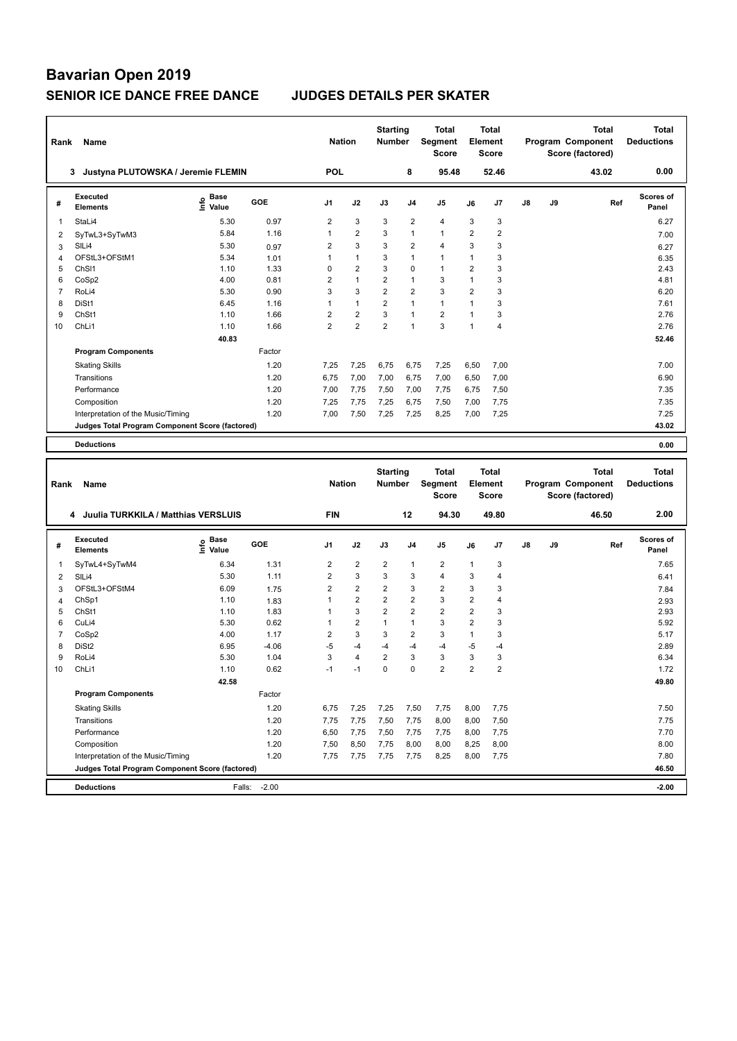| Rank           | Name                                            |                             |                 | <b>Nation</b>           |                     | <b>Starting</b><br><b>Number</b> |                                 | Total<br>Segment<br><b>Score</b> |                                  | Total<br><b>Element</b><br><b>Score</b> |    |    | Program Component<br>Score (factored) | Total | <b>Total</b><br><b>Deductions</b> |
|----------------|-------------------------------------------------|-----------------------------|-----------------|-------------------------|---------------------|----------------------------------|---------------------------------|----------------------------------|----------------------------------|-----------------------------------------|----|----|---------------------------------------|-------|-----------------------------------|
|                | 3 Justyna PLUTOWSKA / Jeremie FLEMIN            |                             |                 | <b>POL</b>              |                     |                                  | 8                               | 95.48                            |                                  | 52.46                                   |    |    | 43.02                                 |       | 0.00                              |
| #              | <b>Executed</b><br><b>Elements</b>              | Base<br>$\frac{6}{5}$ Value | GOE             | J1                      | J2                  | J3                               | J <sub>4</sub>                  | J5                               | J6                               | J7                                      | J8 | J9 |                                       | Ref   | <b>Scores of</b><br>Panel         |
| 1              | StaLi4                                          | 5.30                        | 0.97            | 2                       | 3                   | 3                                | $\overline{c}$                  | 4                                | 3                                | 3                                       |    |    |                                       |       | 6.27                              |
| $\overline{2}$ | SyTwL3+SyTwM3                                   | 5.84                        | 1.16            | 1                       | 2                   | 3                                | $\mathbf{1}$                    | $\mathbf{1}$                     | $\overline{2}$                   | $\overline{\mathbf{c}}$                 |    |    |                                       |       | 7.00                              |
| 3              | SILi4                                           | 5.30                        | 0.97            | $\overline{\mathbf{c}}$ | 3                   | 3                                | $\overline{2}$                  | $\overline{4}$                   | 3                                | 3                                       |    |    |                                       |       | 6.27                              |
| $\overline{4}$ | OFStL3+OFStM1                                   | 5.34                        | 1.01            | 1                       | 1                   | 3                                | $\mathbf{1}$                    | $\mathbf{1}$                     | 1                                | 3                                       |    |    |                                       |       | 6.35                              |
| 5              | ChS <sub>11</sub>                               | 1.10                        | 1.33            | 0                       | 2                   | 3                                | $\mathbf 0$                     | $\mathbf{1}$                     | $\overline{2}$                   | 3                                       |    |    |                                       |       | 2.43                              |
| 6              | CoSp2                                           | 4.00                        | 0.81            | 2                       | $\mathbf{1}$        | 2                                | $\mathbf{1}$                    | 3                                | $\mathbf{1}$                     | 3                                       |    |    |                                       |       | 4.81                              |
| $\overline{7}$ | RoLi4                                           | 5.30                        | 0.90            | 3                       | 3                   | $\overline{\mathbf{c}}$          | $\overline{2}$                  | 3                                | $\overline{2}$                   | 3                                       |    |    |                                       |       | 6.20                              |
| 8              | DiSt1                                           | 6.45                        | 1.16            | 1                       | 1                   | $\overline{2}$                   | $\overline{1}$                  | $\mathbf{1}$                     | $\mathbf{1}$                     | 3                                       |    |    |                                       |       | 7.61                              |
| 9              | ChSt1                                           | 1.10                        | 1.66            | $\overline{\mathbf{c}}$ | 2                   | 3                                | $\mathbf{1}$                    | $\overline{2}$                   | $\mathbf{1}$                     | 3                                       |    |    |                                       |       | 2.76                              |
| 10             | ChL <sub>i1</sub>                               | 1.10                        | 1.66            | $\overline{2}$          | 2                   | $\overline{2}$                   | $\mathbf{1}$                    | 3                                | $\mathbf{1}$                     | 4                                       |    |    |                                       |       | 2.76                              |
|                |                                                 | 40.83                       |                 |                         |                     |                                  |                                 |                                  |                                  |                                         |    |    |                                       |       | 52.46                             |
|                | <b>Program Components</b>                       |                             | Factor          |                         |                     |                                  |                                 |                                  |                                  |                                         |    |    |                                       |       |                                   |
|                | <b>Skating Skills</b>                           |                             | 1.20            | 7,25                    | 7,25                | 6,75                             | 6,75                            | 7,25                             | 6,50                             | 7,00                                    |    |    |                                       |       | 7.00                              |
|                | Transitions                                     |                             | 1.20            | 6,75                    | 7,00                | 7,00                             | 6,75                            | 7,00                             | 6,50                             | 7,00                                    |    |    |                                       |       | 6.90                              |
|                | Performance                                     |                             | 1.20            | 7,00                    | 7,75                | 7,50                             | 7,00                            | 7,75                             | 6,75                             | 7,50                                    |    |    |                                       |       | 7.35                              |
|                | Composition                                     |                             | 1.20            | 7,25                    | 7,75                | 7,25                             | 6,75                            | 7,50                             | 7,00                             | 7,75                                    |    |    |                                       |       | 7.35                              |
|                | Interpretation of the Music/Timing              |                             | 1.20            | 7,00                    | 7,50                | 7,25                             | 7,25                            | 8,25                             | 7,00                             | 7,25                                    |    |    |                                       |       | 7.25                              |
|                | Judges Total Program Component Score (factored) |                             |                 |                         |                     |                                  |                                 |                                  |                                  |                                         |    |    |                                       |       | 43.02                             |
|                | <b>Deductions</b>                               |                             |                 |                         |                     |                                  |                                 |                                  |                                  |                                         |    |    |                                       |       | 0.00                              |
|                |                                                 |                             |                 |                         |                     |                                  |                                 |                                  |                                  |                                         |    |    |                                       |       |                                   |
|                |                                                 |                             |                 |                         |                     |                                  |                                 |                                  |                                  |                                         |    |    |                                       |       |                                   |
| Rank           | Name                                            |                             |                 | <b>Nation</b>           |                     | <b>Starting</b><br><b>Number</b> |                                 | Total<br>Segment<br><b>Score</b> |                                  | <b>Total</b><br><b>Element</b><br>Score |    |    | Program Component<br>Score (factored) | Total | <b>Total</b><br><b>Deductions</b> |
|                | 4 Juulia TURKKILA / Matthias VERSLUIS           |                             |                 | <b>FIN</b>              |                     |                                  | 12                              | 94.30                            |                                  | 49.80                                   |    |    | 46.50                                 |       | 2.00                              |
| #              | Executed<br><b>Elements</b>                     |                             | GOE             | J1                      | J2                  | J3                               | J <sub>4</sub>                  | J5                               | J6                               | J7                                      | J8 | J9 |                                       | Ref   | <b>Scores of</b><br>Panel         |
|                |                                                 | e Base<br>E Value           |                 |                         |                     |                                  |                                 |                                  |                                  |                                         |    |    |                                       |       |                                   |
| 1              | SyTwL4+SyTwM4                                   | 6.34                        | 1.31            | 2                       | 2                   | $\overline{2}$                   | $\mathbf{1}$                    | $\overline{2}$                   | 1                                | 3                                       |    |    |                                       |       | 7.65                              |
| 2              | SILi4                                           | 5.30                        | 1.11            | 2                       | 3                   | 3                                | 3                               | $\overline{4}$                   | 3                                | 4                                       |    |    |                                       |       | 6.41                              |
| 3              | OFStL3+OFStM4                                   | 6.09                        | 1.75            | $\overline{2}$          | 2                   | $\overline{\mathbf{c}}$          | 3                               | $\overline{2}$                   | 3                                | 3                                       |    |    |                                       |       | 7.84                              |
| 4              | ChSp1                                           | 1.10                        | 1.83            | 1<br>1                  | 2                   | 2                                | $\overline{2}$                  | 3                                | $\overline{2}$                   | 4                                       |    |    |                                       |       | 2.93                              |
| 5<br>6         | ChSt1                                           | 1.10<br>5.30                | 1.83<br>0.62    | 1                       | 3<br>$\overline{2}$ | $\overline{2}$<br>1              | $\overline{2}$<br>$\mathbf{1}$  | $\overline{2}$<br>3              | $\overline{2}$<br>$\overline{2}$ | 3<br>3                                  |    |    |                                       |       | 2.93<br>5.92                      |
| $\overline{7}$ | CuLi4                                           |                             |                 |                         | 3                   | 3                                |                                 | 3                                | $\mathbf{1}$                     | 3                                       |    |    |                                       |       |                                   |
| 8              | CoSp2<br>DiSt <sub>2</sub>                      | 4.00<br>6.95                | 1.17<br>$-4.06$ | 2<br>-5                 | $-4$                | -4                               | $\overline{\mathbf{c}}$<br>$-4$ | -4                               | -5                               | -4                                      |    |    |                                       |       | 5.17<br>2.89                      |
| 9              | RoLi4                                           | 5.30                        | 1.04            | 3                       | 4                   | $\overline{\mathbf{c}}$          | 3                               | 3                                | 3                                | 3                                       |    |    |                                       |       | 6.34                              |
| 10             | ChL <sub>i1</sub>                               | 1.10                        | 0.62            | $-1$                    | $-1$                | 0                                | $\Omega$                        | $\overline{2}$                   | $\overline{2}$                   | $\overline{2}$                          |    |    |                                       |       | 1.72                              |
|                |                                                 | 42.58                       |                 |                         |                     |                                  |                                 |                                  |                                  |                                         |    |    |                                       |       | 49.80                             |
|                | <b>Program Components</b>                       |                             | Factor          |                         |                     |                                  |                                 |                                  |                                  |                                         |    |    |                                       |       |                                   |
|                |                                                 |                             |                 |                         |                     |                                  |                                 |                                  |                                  |                                         |    |    |                                       |       |                                   |
|                | <b>Skating Skills</b>                           |                             | 1.20            | 6,75                    | 7,25                | 7,25                             | 7,50                            | 7,75                             | 8,00                             | 7,75                                    |    |    |                                       |       | 7.50                              |
|                | Transitions                                     |                             | 1.20            | 7,75                    | 7,75                | 7,50                             | 7,75                            | 8,00                             | 8,00                             | 7,50                                    |    |    |                                       |       | 7.75                              |
|                | Performance                                     |                             | 1.20            | 6,50                    | 7,75                | 7,50                             | 7,75                            | 7,75                             | 8,00                             | 7,75                                    |    |    |                                       |       | 7.70                              |
|                | Composition                                     |                             | 1.20            | 7,50                    | 8,50                | 7,75                             | 8,00                            | 8,00                             | 8,25                             | 8,00                                    |    |    |                                       |       | 8.00                              |
|                | Interpretation of the Music/Timing              |                             | 1.20            | 7,75                    | 7,75                | 7,75                             | 7,75                            | 8,25                             | 8,00                             | 7,75                                    |    |    |                                       |       | 7.80                              |
|                | Judges Total Program Component Score (factored) |                             |                 |                         |                     |                                  |                                 |                                  |                                  |                                         |    |    |                                       |       | 46.50                             |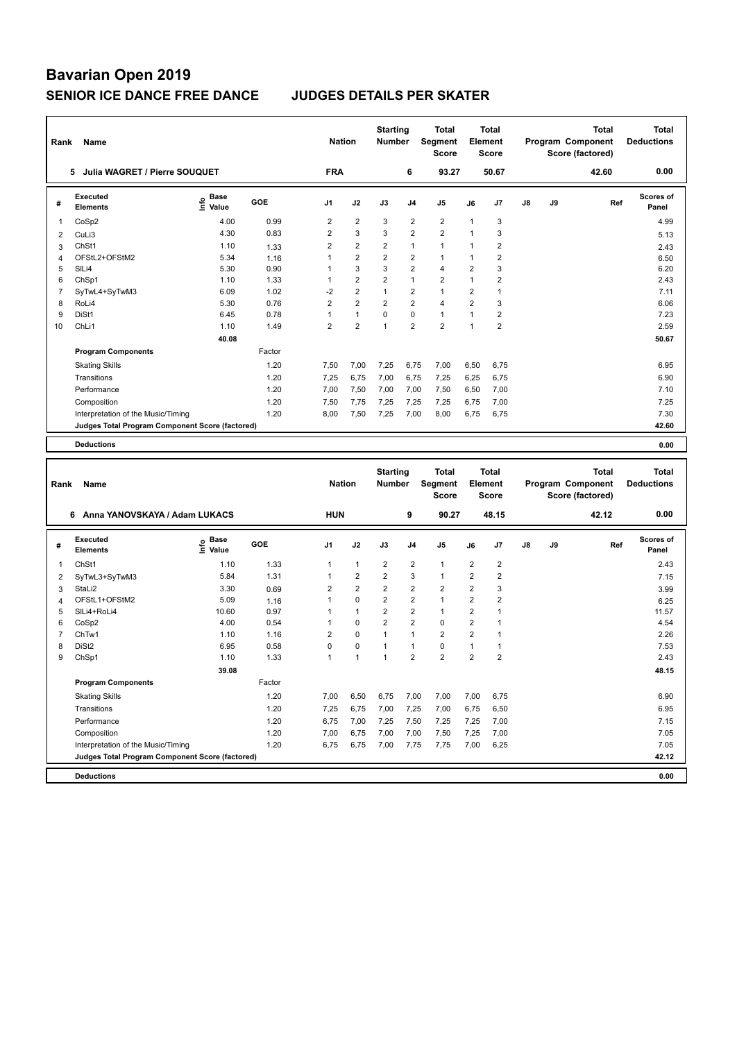| Rank           | Name                                            |                                    |        | <b>Nation</b>  |                | <b>Starting</b><br><b>Number</b> |                | Total<br><b>Segment</b><br><b>Score</b> |                | Total<br><b>Element</b><br><b>Score</b> |    |    | Total<br>Program Component<br>Score (factored) |     | <b>Total</b><br><b>Deductions</b> |
|----------------|-------------------------------------------------|------------------------------------|--------|----------------|----------------|----------------------------------|----------------|-----------------------------------------|----------------|-----------------------------------------|----|----|------------------------------------------------|-----|-----------------------------------|
|                | 5 Julia WAGRET / Pierre SOUQUET                 |                                    |        | <b>FRA</b>     |                |                                  | 6              | 93.27                                   |                | 50.67                                   |    |    | 42.60                                          |     | 0.00                              |
| #              | <b>Executed</b><br><b>Elements</b>              | <b>Base</b><br>$\frac{6}{5}$ Value | GOE    | J1             | J2             | J3                               | J4             | J5                                      | J6             | J7                                      | J8 | J9 |                                                | Ref | Scores of<br>Panel                |
| 1              | CoSp2                                           | 4.00                               | 0.99   | 2              | 2              | 3                                | $\overline{c}$ | $\overline{2}$                          | 1              | 3                                       |    |    |                                                |     | 4.99                              |
| $\overline{2}$ | CuLi3                                           | 4.30                               | 0.83   | $\overline{2}$ | 3              | 3                                | $\overline{2}$ | $\overline{2}$                          | 1              | 3                                       |    |    |                                                |     | 5.13                              |
| 3              | ChSt1                                           | 1.10                               | 1.33   | $\overline{2}$ | 2              | $\overline{2}$                   | $\mathbf{1}$   | $\mathbf{1}$                            | 1              | $\overline{\mathbf{c}}$                 |    |    |                                                |     | 2.43                              |
| 4              | OFStL2+OFStM2                                   | 5.34                               | 1.16   | 1              | 2              | 2                                | $\overline{2}$ | $\mathbf{1}$                            | 1              | $\overline{\mathbf{c}}$                 |    |    |                                                |     | 6.50                              |
| 5              | SIL <sub>i4</sub>                               | 5.30                               | 0.90   | 1              | 3              | 3                                | $\overline{2}$ | $\overline{4}$                          | $\overline{2}$ | 3                                       |    |    |                                                |     | 6.20                              |
| 6              | ChSp1                                           | 1.10                               | 1.33   | 1              | 2              | 2                                | $\mathbf{1}$   | $\overline{2}$                          | $\mathbf{1}$   | $\overline{2}$                          |    |    |                                                |     | 2.43                              |
| $\overline{7}$ | SyTwL4+SyTwM3                                   | 6.09                               | 1.02   | $-2$           | 2              | $\mathbf{1}$                     | $\overline{2}$ | $\mathbf{1}$                            | $\overline{2}$ | $\mathbf{1}$                            |    |    |                                                |     | 7.11                              |
| 8              | RoLi4                                           | 5.30                               | 0.76   | $\overline{2}$ | $\overline{2}$ | $\overline{2}$                   | $\overline{2}$ | 4                                       | $\overline{2}$ | 3                                       |    |    |                                                |     | 6.06                              |
| 9              | DiSt1                                           | 6.45                               | 0.78   | $\mathbf{1}$   | $\mathbf{1}$   | 0                                | $\mathbf 0$    | $\mathbf{1}$                            | $\mathbf{1}$   | $\overline{\mathbf{c}}$                 |    |    |                                                |     | 7.23                              |
| 10             | ChL <sub>i1</sub>                               | 1.10                               | 1.49   | $\overline{2}$ | 2              | $\mathbf{1}$                     | $\overline{2}$ | $\boldsymbol{2}$                        | $\mathbf{1}$   | $\mathbf 2$                             |    |    |                                                |     | 2.59                              |
|                |                                                 | 40.08                              |        |                |                |                                  |                |                                         |                |                                         |    |    |                                                |     | 50.67                             |
|                | <b>Program Components</b>                       |                                    | Factor |                |                |                                  |                |                                         |                |                                         |    |    |                                                |     |                                   |
|                | <b>Skating Skills</b>                           |                                    | 1.20   | 7,50           | 7,00           | 7,25                             | 6,75           | 7,00                                    | 6,50           | 6,75                                    |    |    |                                                |     | 6.95                              |
|                | Transitions                                     |                                    | 1.20   | 7,25           | 6,75           | 7,00                             | 6,75           | 7,25                                    | 6,25           | 6,75                                    |    |    |                                                |     | 6.90                              |
|                | Performance                                     |                                    | 1.20   | 7,00           | 7,50           | 7,00                             | 7,00           | 7,50                                    | 6,50           | 7,00                                    |    |    |                                                |     | 7.10                              |
|                | Composition                                     |                                    | 1.20   | 7,50           | 7,75           | 7,25                             | 7,25           | 7,25                                    | 6,75           | 7,00                                    |    |    |                                                |     | 7.25                              |
|                | Interpretation of the Music/Timing              |                                    | 1.20   | 8,00           | 7,50           | 7,25                             | 7,00           | 8,00                                    | 6,75           | 6,75                                    |    |    |                                                |     | 7.30                              |
|                | Judges Total Program Component Score (factored) |                                    |        |                |                |                                  |                |                                         |                |                                         |    |    |                                                |     | 42.60                             |
|                | <b>Deductions</b>                               |                                    |        |                |                |                                  |                |                                         |                |                                         |    |    |                                                |     | 0.00                              |
|                |                                                 |                                    |        |                |                |                                  |                |                                         |                |                                         |    |    |                                                |     |                                   |
|                |                                                 |                                    |        |                |                |                                  |                |                                         |                |                                         |    |    |                                                |     |                                   |
|                |                                                 |                                    |        |                |                | <b>Starting</b>                  |                | Total                                   |                | <b>Total</b>                            |    |    | <b>Total</b>                                   |     | <b>Total</b>                      |
| Rank           | Name                                            |                                    |        | <b>Nation</b>  |                | <b>Number</b>                    |                | Segment<br><b>Score</b>                 |                | <b>Element</b><br>Score                 |    |    | Program Component<br>Score (factored)          |     | <b>Deductions</b>                 |
|                | 6 Anna YANOVSKAYA / Adam LUKACS                 |                                    |        | <b>HUN</b>     |                |                                  | 9              | 90.27                                   |                | 48.15                                   |    |    | 42.12                                          |     | 0.00                              |
|                |                                                 |                                    |        |                |                |                                  |                |                                         |                |                                         |    |    |                                                |     |                                   |
| #              | <b>Executed</b><br><b>Elements</b>              | e Base<br>E Value                  | GOE    | J1             | J2             | J3                               | J4             | J5                                      | J6             | J7                                      | J8 | J9 |                                                | Ref | <b>Scores of</b><br>Panel         |
| 1              | ChSt1                                           | 1.10                               | 1.33   | 1              | $\mathbf{1}$   | $\overline{2}$                   | $\overline{c}$ | $\mathbf{1}$                            | $\overline{c}$ | $\overline{\mathbf{c}}$                 |    |    |                                                |     | 2.43                              |
| 2              | SyTwL3+SyTwM3                                   | 5.84                               | 1.31   | 1              | 2              | 2                                | 3              | $\mathbf{1}$                            | $\overline{2}$ | $\overline{2}$                          |    |    |                                                |     | 7.15                              |
| 3              | StaLi2                                          | 3.30                               | 0.69   | 2              | $\overline{2}$ | $\overline{\mathbf{c}}$          | 2              | $\overline{2}$                          | $\overline{2}$ | 3                                       |    |    |                                                |     | 3.99                              |
| 4              | OFStL1+OFStM2                                   | 5.09                               | 1.16   | 1              | 0              | $\overline{\mathbf{c}}$          | $\overline{2}$ | $\mathbf{1}$                            | $\overline{2}$ | $\overline{2}$                          |    |    |                                                |     | 6.25                              |
| 5              | SILi4+RoLi4                                     | 10.60                              | 0.97   | 1              | 1              | $\overline{2}$                   | $\overline{2}$ | $\mathbf{1}$                            | $\overline{2}$ | $\mathbf{1}$                            |    |    |                                                |     | 11.57                             |
| 6              | CoSp2                                           | 4.00                               | 0.54   | 1              | 0              | $\overline{2}$                   | $\overline{2}$ | $\mathbf 0$                             | $\overline{2}$ | $\mathbf{1}$                            |    |    |                                                |     | 4.54                              |
| $\overline{7}$ | ChTw1                                           | 1.10                               | 1.16   | $\overline{2}$ | 0              | $\mathbf{1}$                     | $\mathbf{1}$   | $\overline{2}$                          | $\mathbf 2$    | $\mathbf{1}$                            |    |    |                                                |     | 2.26                              |
| 8              | DiSt <sub>2</sub>                               | 6.95                               | 0.58   | 0              | 0              | 1                                | $\mathbf{1}$   | $\pmb{0}$                               | $\mathbf{1}$   | $\mathbf{1}$                            |    |    |                                                |     | 7.53                              |
| 9              | ChSp1                                           | 1.10                               | 1.33   | $\mathbf{1}$   | 1              | $\mathbf{1}$                     | $\overline{2}$ | $\overline{2}$                          | $\overline{2}$ | $\overline{2}$                          |    |    |                                                |     | 2.43                              |
|                |                                                 | 39.08                              |        |                |                |                                  |                |                                         |                |                                         |    |    |                                                |     | 48.15                             |
|                | <b>Program Components</b>                       |                                    | Factor |                |                |                                  |                |                                         |                |                                         |    |    |                                                |     |                                   |
|                | <b>Skating Skills</b>                           |                                    | 1.20   | 7,00           | 6,50           | 6,75                             | 7,00           | 7,00                                    | 7,00           | 6,75                                    |    |    |                                                |     | 6.90                              |
|                | Transitions                                     |                                    | 1.20   | 7,25           | 6,75           | 7,00                             | 7,25           | 7,00                                    | 6,75           | 6,50                                    |    |    |                                                |     | 6.95                              |
|                | Performance                                     |                                    | 1.20   | 6,75           | 7,00           | 7,25                             | 7,50           | 7,25                                    | 7,25           | 7,00                                    |    |    |                                                |     | 7.15                              |
|                | Composition                                     |                                    | 1.20   | 7,00           | 6,75           | 7,00                             | 7,00           | 7,50                                    | 7,25           | 7,00                                    |    |    |                                                |     | 7.05                              |
|                | Interpretation of the Music/Timing              |                                    | 1.20   | 6,75           | 6,75           | 7,00                             | 7,75           | 7,75                                    | 7,00           | 6,25                                    |    |    |                                                |     | 7.05                              |
|                | Judges Total Program Component Score (factored) |                                    |        |                |                |                                  |                |                                         |                |                                         |    |    |                                                |     | 42.12                             |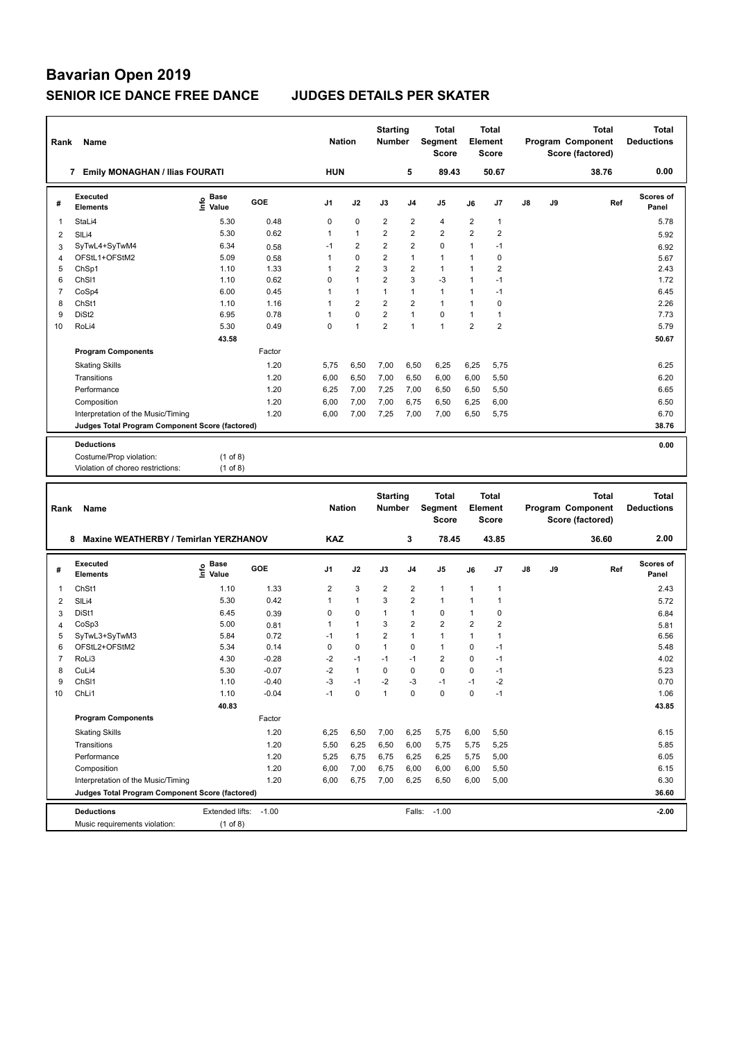| Rank           | Name                                            |                       |        | <b>Nation</b>  |                | <b>Starting</b><br><b>Number</b> |                | <b>Total</b><br>Segment<br><b>Score</b> |                | Total<br>Element<br><b>Score</b> |    |    | Total<br>Program Component<br>Score (factored) | <b>Total</b><br><b>Deductions</b> |
|----------------|-------------------------------------------------|-----------------------|--------|----------------|----------------|----------------------------------|----------------|-----------------------------------------|----------------|----------------------------------|----|----|------------------------------------------------|-----------------------------------|
|                | 7 Emily MONAGHAN / Ilias FOURATI                |                       |        | <b>HUN</b>     |                |                                  | 5              | 89.43                                   |                | 50.67                            |    |    | 38.76                                          | 0.00                              |
| #              | <b>Executed</b><br><b>Elements</b>              | Base<br>lnfo<br>Value | GOE    | J <sub>1</sub> | J2             | J3                               | J <sub>4</sub> | J <sub>5</sub>                          | J6             | J7                               | J8 | J9 | Ref                                            | <b>Scores of</b><br>Panel         |
| 1              | StaLi4                                          | 5.30                  | 0.48   | $\mathbf 0$    | $\mathbf 0$    | $\overline{2}$                   | $\overline{2}$ | $\overline{4}$                          | $\overline{2}$ | $\overline{1}$                   |    |    |                                                | 5.78                              |
| 2              | SILi4                                           | 5.30                  | 0.62   | $\mathbf{1}$   | $\mathbf{1}$   | $\overline{2}$                   | $\overline{2}$ | $\overline{2}$                          | $\overline{2}$ | $\overline{2}$                   |    |    |                                                | 5.92                              |
| 3              | SyTwL4+SyTwM4                                   | 6.34                  | 0.58   | $-1$           | $\overline{2}$ | $\overline{2}$                   | $\overline{2}$ | $\mathbf 0$                             | $\mathbf{1}$   | $-1$                             |    |    |                                                | 6.92                              |
| $\overline{4}$ | OFStL1+OFStM2                                   | 5.09                  | 0.58   | 1              | $\mathbf 0$    | $\overline{2}$                   | $\mathbf{1}$   | $\mathbf{1}$                            | 1              | $\mathbf 0$                      |    |    |                                                | 5.67                              |
| 5              | ChSp1                                           | 1.10                  | 1.33   | 1              | $\overline{2}$ | 3                                | $\overline{2}$ | $\mathbf{1}$                            | $\mathbf{1}$   | $\overline{2}$                   |    |    |                                                | 2.43                              |
| 6              | ChSI1                                           | 1.10                  | 0.62   | 0              | $\mathbf{1}$   | $\overline{2}$                   | 3              | $-3$                                    | 1              | $-1$                             |    |    |                                                | 1.72                              |
| $\overline{7}$ | CoSp4                                           | 6.00                  | 0.45   | 1              | $\mathbf{1}$   | $\mathbf{1}$                     | $\mathbf{1}$   | $\mathbf{1}$                            | $\mathbf{1}$   | $-1$                             |    |    |                                                | 6.45                              |
| 8              | ChSt1                                           | 1.10                  | 1.16   | 1              | $\overline{2}$ | $\overline{2}$                   | $\overline{2}$ | $\mathbf{1}$                            | 1              | $\mathbf 0$                      |    |    |                                                | 2.26                              |
| 9              | DiSt <sub>2</sub>                               | 6.95                  | 0.78   | 1              | $\theta$       | $\overline{2}$                   | $\mathbf{1}$   | $\mathbf{0}$                            | $\mathbf{1}$   | $\overline{1}$                   |    |    |                                                | 7.73                              |
| 10             | RoLi4                                           | 5.30                  | 0.49   | $\mathbf 0$    | $\overline{1}$ | $\overline{2}$                   | $\mathbf{1}$   | $\mathbf{1}$                            | $\overline{2}$ | $\overline{2}$                   |    |    |                                                | 5.79                              |
|                |                                                 | 43.58                 |        |                |                |                                  |                |                                         |                |                                  |    |    |                                                | 50.67                             |
|                | <b>Program Components</b>                       |                       | Factor |                |                |                                  |                |                                         |                |                                  |    |    |                                                |                                   |
|                | <b>Skating Skills</b>                           |                       | 1.20   | 5.75           | 6,50           | 7,00                             | 6,50           | 6,25                                    | 6,25           | 5,75                             |    |    |                                                | 6.25                              |
|                | Transitions                                     |                       | 1.20   | 6,00           | 6,50           | 7,00                             | 6,50           | 6,00                                    | 6,00           | 5,50                             |    |    |                                                | 6.20                              |
|                | Performance                                     |                       | 1.20   | 6,25           | 7,00           | 7,25                             | 7,00           | 6,50                                    | 6,50           | 5,50                             |    |    |                                                | 6.65                              |
|                | Composition                                     |                       | 1.20   | 6,00           | 7,00           | 7,00                             | 6,75           | 6,50                                    | 6,25           | 6,00                             |    |    |                                                | 6.50                              |
|                | Interpretation of the Music/Timing              |                       | 1.20   | 6,00           | 7,00           | 7,25                             | 7,00           | 7,00                                    | 6,50           | 5,75                             |    |    |                                                | 6.70                              |
|                | Judges Total Program Component Score (factored) |                       |        |                |                |                                  |                |                                         |                |                                  |    |    |                                                | 38.76                             |
|                |                                                 |                       |        |                |                |                                  |                |                                         |                |                                  |    |    |                                                |                                   |
|                | <b>Deductions</b>                               |                       |        |                |                |                                  |                |                                         |                |                                  |    |    |                                                | 0.00                              |
|                | Costume/Prop violation:                         | $(1$ of 8)            |        |                |                |                                  |                |                                         |                |                                  |    |    |                                                |                                   |
|                | Violation of choreo restrictions:               | $(1$ of 8)            |        |                |                |                                  |                |                                         |                |                                  |    |    |                                                |                                   |
|                |                                                 |                       |        |                |                |                                  |                |                                         |                |                                  |    |    |                                                |                                   |
| Rank           | Name                                            |                       |        | <b>Nation</b>  |                | <b>Starting</b><br><b>Number</b> |                | <b>Total</b><br>Segment                 |                | Total<br>Element                 |    |    | <b>Total</b><br>Program Component              | <b>Total</b><br><b>Deductions</b> |
|                |                                                 |                       |        |                |                |                                  |                | <b>Score</b>                            |                | <b>Score</b>                     |    |    | Score (factored)                               |                                   |
|                | 8 Maxine WEATHERBY / Temirlan YERZHANOV         |                       |        | <b>KAZ</b>     |                |                                  | 3              | 78.45                                   |                | 43.85                            |    |    | 36.60                                          | 2.00                              |
| #              | <b>Executed</b><br><b>Elements</b>              | Base<br>۴o<br>Value   | GOE    | J1             | J2             | J3                               | J4             | J5                                      | J6             | J7                               | J8 | J9 | Ref                                            | Scores of<br>Panel                |
| 1              | ChSt1                                           | 1.10                  | 1.33   | $\overline{2}$ | 3              | $\overline{2}$                   | $\overline{2}$ | $\mathbf{1}$                            | $\mathbf{1}$   | $\overline{1}$                   |    |    |                                                | 2.43                              |
| 2              | $SII$ i4                                        | 5.30                  | 0.42   | 1              | $\mathbf{1}$   | 3                                | $\overline{2}$ | $\mathbf{1}$                            | $\mathbf{1}$   | $\overline{1}$                   |    |    |                                                | 572                               |

|    | ChSt1                                           | 1.10            | 1.33    | $\overline{2}$ | 3              | 2    | $\overline{2}$ |                |                |      | 2.43    |
|----|-------------------------------------------------|-----------------|---------|----------------|----------------|------|----------------|----------------|----------------|------|---------|
| 2  | SIL <sub>i4</sub>                               | 5.30            | 0.42    |                | 1              | 3    | $\overline{2}$ |                |                |      | 5.72    |
| 3  | DiSt1                                           | 6.45            | 0.39    | $\Omega$       | $\mathbf 0$    |      | 1              | 0              |                | 0    | 6.84    |
|    | CoSp3                                           | 5.00            | 0.81    |                | $\overline{ }$ | 3    | 2              | $\overline{2}$ | $\overline{2}$ | 2    | 5.81    |
| 5  | SyTwL3+SyTwM3                                   | 5.84            | 0.72    | $-1$           | 1              | 2    | 1              |                |                |      | 6.56    |
| 6  | OFStL2+OFStM2                                   | 5.34            | 0.14    | 0              | 0              |      | 0              |                | 0              | $-1$ | 5.48    |
|    | RoLi3                                           | 4.30            | $-0.28$ | $-2$           | $-1$           | $-1$ | $-1$           | $\overline{2}$ | $\Omega$       | $-1$ | 4.02    |
| 8  | CuLi4                                           | 5.30            | $-0.07$ | -2             | 1              | 0    | 0              | 0              | 0              | $-1$ | 5.23    |
| 9  | ChS <sub>11</sub>                               | 1.10            | $-0.40$ | -3             | $-1$           | $-2$ | -3             | $-1$           | $-1$           | $-2$ | 0.70    |
| 10 | ChLi1                                           | 1.10            | $-0.04$ | $-1$           | $\mathbf 0$    | 1    | 0              | 0              | 0              | $-1$ | 1.06    |
|    |                                                 | 40.83           |         |                |                |      |                |                |                |      | 43.85   |
|    | <b>Program Components</b>                       |                 | Factor  |                |                |      |                |                |                |      |         |
|    | <b>Skating Skills</b>                           |                 | 1.20    | 6,25           | 6,50           | 7,00 | 6,25           | 5,75           | 6,00           | 5,50 | 6.15    |
|    | Transitions                                     |                 | 1.20    | 5,50           | 6,25           | 6,50 | 6,00           | 5,75           | 5,75           | 5,25 | 5.85    |
|    | Performance                                     |                 | 1.20    | 5,25           | 6,75           | 6,75 | 6,25           | 6,25           | 5,75           | 5,00 | 6.05    |
|    | Composition                                     |                 | 1.20    | 6,00           | 7,00           | 6,75 | 6,00           | 6,00           | 6,00           | 5,50 | 6.15    |
|    | Interpretation of the Music/Timing              |                 | 1.20    | 6,00           | 6,75           | 7,00 | 6,25           | 6,50           | 6,00           | 5,00 | 6.30    |
|    | Judges Total Program Component Score (factored) |                 |         |                |                |      |                |                |                |      | 36.60   |
|    | <b>Deductions</b>                               | Extended lifts: | $-1.00$ |                |                |      | Falls:         | $-1.00$        |                |      | $-2.00$ |
|    | Music requirements violation:                   | (1 of 8)        |         |                |                |      |                |                |                |      |         |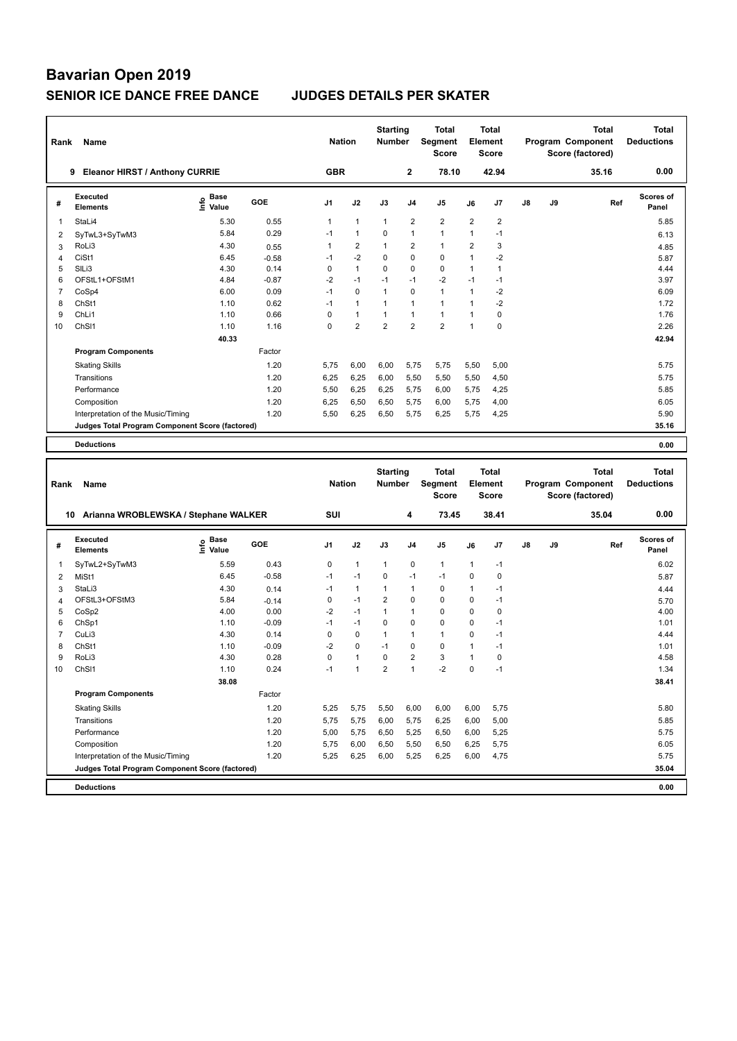| Rank                | Name                                            |                                  |              | <b>Nation</b> |                   | <b>Starting</b><br><b>Number</b> |                | Total<br>Segment<br>Score        |                              | <b>Total</b><br>Element<br><b>Score</b> |    |    | <b>Total</b><br>Program Component<br>Score (factored) | <b>Total</b><br><b>Deductions</b> |
|---------------------|-------------------------------------------------|----------------------------------|--------------|---------------|-------------------|----------------------------------|----------------|----------------------------------|------------------------------|-----------------------------------------|----|----|-------------------------------------------------------|-----------------------------------|
|                     | 9 Eleanor HIRST / Anthony CURRIE                |                                  |              | <b>GBR</b>    |                   |                                  | $\mathbf{2}$   | 78.10                            |                              | 42.94                                   |    |    | 35.16                                                 | 0.00                              |
| #                   | <b>Executed</b><br><b>Elements</b>              | <b>Base</b><br>e Base<br>⊆ Value | GOE          | J1            | J2                | J3                               | J4             | J5                               | J6                           | J7                                      | J8 | J9 | Ref                                                   | <b>Scores of</b><br>Panel         |
| 1                   | StaLi4                                          | 5.30                             | 0.55         | $\mathbf{1}$  | 1                 | 1                                | 2              | 2                                | $\overline{2}$               | 2                                       |    |    |                                                       | 5.85                              |
| 2                   | SyTwL3+SyTwM3                                   | 5.84                             | 0.29         | $-1$          | $\mathbf{1}$      | 0                                | 1              | $\mathbf{1}$                     | $\mathbf{1}$                 | $-1$                                    |    |    |                                                       | 6.13                              |
| 3                   | RoLi3                                           | 4.30                             | 0.55         | 1             | 2                 | 1                                | 2              | $\mathbf{1}$                     | $\overline{2}$               | 3                                       |    |    |                                                       | 4.85                              |
| $\overline{4}$      | CiSt1                                           | 6.45                             | $-0.58$      | $-1$          | $-2$              | 0                                | 0              | 0                                | $\mathbf{1}$                 | $-2$                                    |    |    |                                                       | 5.87                              |
| 5                   | SILi3                                           | 4.30                             | 0.14         | 0             | $\mathbf{1}$      | 0                                | 0              | 0                                | $\mathbf{1}$                 | $\mathbf{1}$                            |    |    |                                                       | 4.44                              |
| 6                   | OFStL1+OFStM1                                   | 4.84                             | $-0.87$      | $-2$          | $-1$              | $-1$                             | $-1$           | $-2$                             | $-1$                         | $-1$                                    |    |    |                                                       | 3.97                              |
| $\overline{7}$<br>8 | CoSp4                                           | 6.00<br>1.10                     | 0.09<br>0.62 | $-1$<br>$-1$  | 0<br>$\mathbf{1}$ | 1<br>$\mathbf{1}$                | 0<br>1         | $\mathbf{1}$<br>$\mathbf{1}$     | $\mathbf{1}$<br>$\mathbf{1}$ | $-2$<br>$-2$                            |    |    |                                                       | 6.09                              |
| 9                   | ChSt1<br>ChL <sub>i1</sub>                      | 1.10                             | 0.66         | 0             | $\mathbf{1}$      | 1                                | 1              | $\mathbf{1}$                     | $\mathbf{1}$                 | $\pmb{0}$                               |    |    |                                                       | 1.72<br>1.76                      |
| 10                  | ChS <sub>11</sub>                               | 1.10                             | 1.16         | 0             | $\overline{2}$    | $\overline{2}$                   | $\overline{2}$ | 2                                | $\mathbf{1}$                 | 0                                       |    |    |                                                       | 2.26                              |
|                     |                                                 | 40.33                            |              |               |                   |                                  |                |                                  |                              |                                         |    |    |                                                       | 42.94                             |
|                     | <b>Program Components</b>                       |                                  | Factor       |               |                   |                                  |                |                                  |                              |                                         |    |    |                                                       |                                   |
|                     | <b>Skating Skills</b>                           |                                  | 1.20         | 5,75          | 6,00              | 6,00                             | 5,75           | 5,75                             | 5,50                         | 5,00                                    |    |    |                                                       | 5.75                              |
|                     | Transitions                                     |                                  | 1.20         | 6,25          | 6,25              | 6,00                             | 5,50           | 5,50                             | 5,50                         | 4,50                                    |    |    |                                                       | 5.75                              |
|                     | Performance                                     |                                  | 1.20         | 5,50          | 6,25              | 6,25                             | 5,75           | 6,00                             | 5,75                         | 4,25                                    |    |    |                                                       | 5.85                              |
|                     | Composition                                     |                                  | 1.20         | 6,25          | 6,50              | 6,50                             | 5,75           | 6,00                             | 5,75                         | 4,00                                    |    |    |                                                       | 6.05                              |
|                     | Interpretation of the Music/Timing              |                                  | 1.20         | 5,50          | 6,25              | 6,50                             | 5,75           | 6,25                             | 5,75                         | 4,25                                    |    |    |                                                       | 5.90                              |
|                     | Judges Total Program Component Score (factored) |                                  |              |               |                   |                                  |                |                                  |                              |                                         |    |    |                                                       | 35.16                             |
|                     | <b>Deductions</b>                               |                                  |              |               |                   |                                  |                |                                  |                              |                                         |    |    |                                                       | 0.00                              |
|                     |                                                 |                                  |              |               |                   |                                  |                |                                  |                              |                                         |    |    |                                                       |                                   |
|                     |                                                 |                                  |              |               |                   |                                  |                |                                  |                              |                                         |    |    |                                                       |                                   |
| Rank                | Name                                            |                                  |              | <b>Nation</b> |                   | <b>Starting</b><br>Number        |                | <b>Total</b><br>Segment<br>Score |                              | <b>Total</b><br><b>Element</b><br>Score |    |    | <b>Total</b><br>Program Component<br>Score (factored) | <b>Total</b><br><b>Deductions</b> |
|                     | 10 Arianna WROBLEWSKA / Stephane WALKER         |                                  |              | SUI           |                   |                                  | 4              | 73.45                            |                              | 38.41                                   |    |    | 35.04                                                 | 0.00                              |
| #                   | Executed<br><b>Elements</b>                     | e Base<br>⊆ Value                | GOE          | J1            | J2                | J3                               | J4             | J5                               | J6                           | J7                                      | J8 | J9 | Ref                                                   | <b>Scores of</b><br>Panel         |
| 1                   | SyTwL2+SyTwM3                                   | 5.59                             | 0.43         | 0             | 1                 | 1                                | 0              | $\mathbf{1}$                     | $\mathbf{1}$                 | $-1$                                    |    |    |                                                       | 6.02                              |
| $\overline{2}$      | MiSt1                                           | 6.45                             | $-0.58$      | $-1$          | $-1$              | 0                                | $-1$           | $-1$                             | $\mathbf 0$                  | $\pmb{0}$                               |    |    |                                                       | 5.87                              |
| 3                   | StaLi3                                          | 4.30                             | 0.14         | $-1$          | $\mathbf{1}$      | 1                                | 1              | 0                                | $\overline{1}$               | $-1$                                    |    |    |                                                       | 4.44                              |
| $\overline{4}$      | OFStL3+OFStM3                                   | 5.84                             | $-0.14$      | $\mathbf 0$   | $-1$              | $\overline{2}$                   | 0              | 0                                | $\mathbf 0$                  | $-1$                                    |    |    |                                                       | 5.70                              |
| 5                   | CoSp2                                           | 4.00                             | 0.00         | $-2$          | $-1$              | 1                                | 1              | 0                                | $\mathbf 0$                  | $\pmb{0}$                               |    |    |                                                       | 4.00                              |
| 6                   | ChSp1                                           | 1.10                             | $-0.09$      | $-1$          | $-1$              | 0                                | 0              | 0                                | $\mathbf 0$                  | $-1$                                    |    |    |                                                       | 1.01                              |
| 7                   | CuLi3                                           | 4.30                             | 0.14         | 0             | 0                 | 1                                | 1              | $\mathbf{1}$                     | 0                            | $-1$                                    |    |    |                                                       | 4.44                              |
| 8                   | ChSt1                                           | 1.10                             | $-0.09$      | -2            | 0                 | $-1$                             | 0              | 0                                | $\mathbf{1}$                 | $-1$                                    |    |    |                                                       | 1.01                              |
| 9                   | RoLi3                                           | 4.30                             | 0.28         | $\mathbf 0$   | $\mathbf{1}$      | $\mathbf 0$                      | $\overline{2}$ | 3                                | $\mathbf{1}$                 | $\mathbf 0$                             |    |    |                                                       | 4.58                              |
| 10                  | ChSI1                                           | 1.10                             | 0.24         | $-1$          | 1                 | $\overline{2}$                   | 1              | $-2$                             | 0                            | $-1$                                    |    |    |                                                       | 1.34                              |
|                     |                                                 | 38.08                            |              |               |                   |                                  |                |                                  |                              |                                         |    |    |                                                       | 38.41                             |
|                     | <b>Program Components</b>                       |                                  | Factor       |               |                   |                                  |                |                                  |                              |                                         |    |    |                                                       |                                   |
|                     | <b>Skating Skills</b>                           |                                  | 1.20         | 5,25          | 5,75              | 5,50                             | 6,00           | 6,00                             | 6,00                         | 5,75                                    |    |    |                                                       | 5.80                              |
|                     | Transitions                                     |                                  | 1.20         | 5,75          | 5,75              | 6,00                             | 5,75           | 6,25                             | 6,00                         | 5,00                                    |    |    |                                                       | 5.85                              |
|                     | Performance<br>Composition                      |                                  | 1.20<br>1.20 | 5,00<br>5,75  | 5,75<br>6,00      | 6,50<br>6,50                     | 5,25<br>5,50   | 6,50<br>6,50                     | 6,00<br>6,25                 | 5,25<br>5,75                            |    |    |                                                       | 5.75<br>6.05                      |
|                     | Interpretation of the Music/Timing              |                                  | 1.20         | 5,25          | 6,25              | 6,00                             | 5,25           | 6,25                             | 6,00                         | 4,75                                    |    |    |                                                       | 5.75                              |
|                     | Judges Total Program Component Score (factored) |                                  |              |               |                   |                                  |                |                                  |                              |                                         |    |    |                                                       | 35.04                             |
|                     | <b>Deductions</b>                               |                                  |              |               |                   |                                  |                |                                  |                              |                                         |    |    |                                                       | 0.00                              |